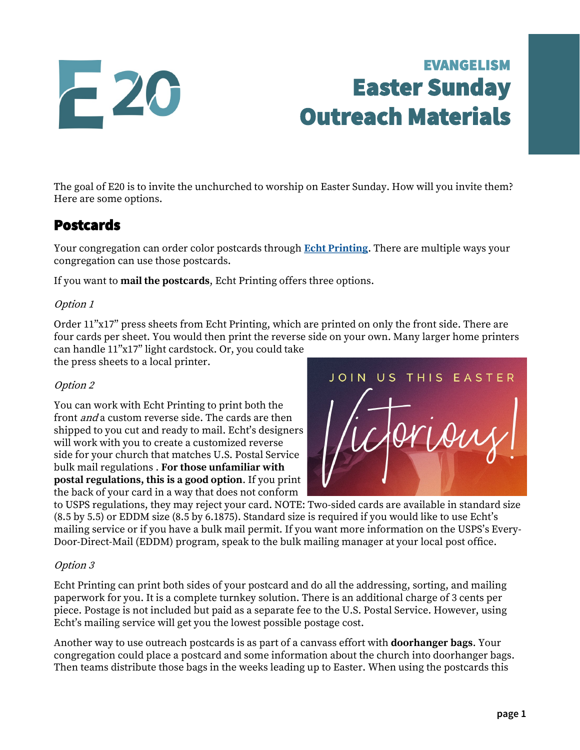

# EVANGELISM Easter Sunday Outreach Materials

The goal of E20 is to invite the unchurched to worship on Easter Sunday. How will you invite them? Here are some options.

### Postcards

Your congregation can order color postcards through **[Echt Printing](https://www.echtprinting.com/wels-e20)**. There are multiple ways your congregation can use those postcards.

If you want to **mail the postcards**, Echt Printing offers three options.

#### Option 1

Order 11"x17" press sheets from Echt Printing, which are printed on only the front side. There are four cards per sheet. You would then print the reverse side on your own. Many larger home printers

can handle 11"x17" light cardstock. Or, you could take the press sheets to a local printer.

#### Option 2

You can work with Echt Printing to print both the front *and* a custom reverse side. The cards are then shipped to you cut and ready to mail. Echt's designers will work with you to create a customized reverse side for your church that matches U.S. Postal Service bulk mail regulations . **For those unfamiliar with postal regulations, this is a good option**. If you print the back of your card in a way that does not conform



to USPS regulations, they may reject your card. NOTE: Two-sided cards are available in standard size (8.5 by 5.5) or EDDM size (8.5 by 6.1875). Standard size is required if you would like to use Echt's mailing service or if you have a bulk mail permit. If you want more information on the USPS's Every-Door-Direct-Mail (EDDM) program, speak to the bulk mailing manager at your local post office.

#### Option 3

Echt Printing can print both sides of your postcard and do all the addressing, sorting, and mailing paperwork for you. It is a complete turnkey solution. There is an additional charge of 3 cents per piece. Postage is not included but paid as a separate fee to the U.S. Postal Service. However, using Echt's mailing service will get you the lowest possible postage cost.

Another way to use outreach postcards is as part of a canvass effort with **doorhanger bags**. Your congregation could place a postcard and some information about the church into doorhanger bags. Then teams distribute those bags in the weeks leading up to Easter. When using the postcards this